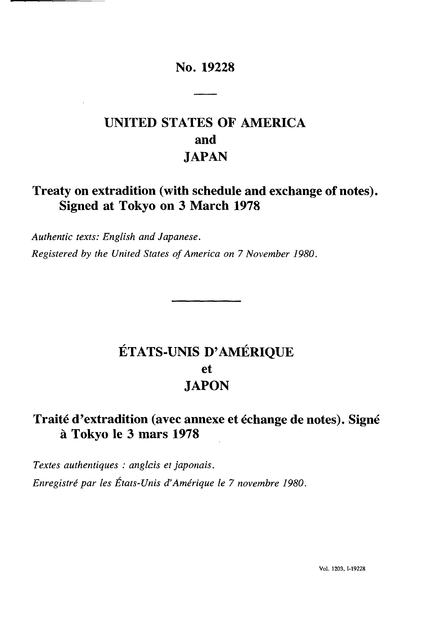### **No. 19228**

# **UNITED STATES OF AMERICA and JAPAN**

## **Treaty on extradition (with schedule and exchange of notes). Signed at Tokyo on 3 March 1978**

*Authentic texts: English and Japanese. Registered by the United States of America on 7 November 1980.*

# **ETATS-UNIS D'AMÉRIQUE et JAPON**

### **Traité d'extradition (avec annexe et échange de notes). Signé à Tokyo le 3 mars 1978**

*Textes authentiques : anglais et japonais. Enregistré par les États-Unis d'Amérique le 7 novembre 1980.*

Vol. 1203, 1-19228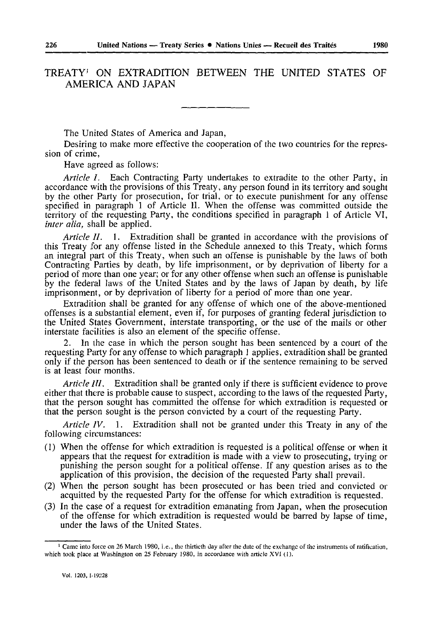### TREATY<sup>1</sup> ON EXTRADITION BETWEEN THE UNITED STATES OF AMERICA AND JAPAN

The United States of America and Japan,

Desiring to make more effective the cooperation of the two countries for the repres sion of crime,

Have agreed as follows:

*Article I.* Each Contracting Party undertakes to extradite to the other Party, in accordance with the provisions of this Treaty, any person found in its territory and sought by the other Party for prosecution, for trial, or to execute punishment for any offense specified in paragraph 1 of Article II. When the offense was committed outside the territory of the requesting Party, the conditions specified in paragraph 1 of Article VI, *inter alia,* shall be applied.

*Article 11.* 1. Extradition shall be granted in accordance with the provisions of this Treaty for any offense listed in the Schedule annexed to this Treaty, which forms an integral part of this Treaty, when such an offense is punishable by the laws of both Contracting Parties by death, by life imprisonment, or by deprivation of liberty for a period of more than one year; or for any other offense when such an offense is punishable by the federal laws of the United States and by the laws of Japan by death, by life imprisonment, or by deprivation of liberty for a period of more than one year.

Extradition shall be granted for any offense of which one of the above-mentioned offenses is a substantial element, even if, for purposes of granting federal jurisdiction to the United States Government, interstate transporting, or the use of the mails or other interstate facilities is also an element of the specific offense.

2. In the case in which the person sought has been sentenced by a court of the requesting Party for any offense to which paragraph 1 applies, extradition shall be granted only if the person has been sentenced to death or if the sentence remaining to be served is at least four months.

*Article III.* Extradition shall be granted only if there is sufficient evidence to prove either that there is probable cause to suspect, according to the laws of the requested Party, that the person sought has committed the offense for which extradition is requested or that the person sought is the person convicted by a court of the requesting Party.

*Article IV.* 1. Extradition shall not be granted under this Treaty in any of the following circumstances:

- (1) When the offense for which extradition is requested is a political offense or when it appears that the request for extradition is made with a view to prosecuting, trying or punishing the person sought for a political offense. If any question arises as to the application of this provision, the decision of the requested Party shall prevail.
- (2) When the person sought has been prosecuted or has been tried and convicted or acquitted by the requested Party for the offense for which extradition is requested.
- (3) In the case of a request for extradition emanating from Japan, when the prosecution of the offense for which extradition is requested would be barred by lapse of time, under the laws of the United States.

<sup>1</sup> Came into force on 26 March 1980, i.e., the thirtieth day after the date of the exchange of the instruments of ratification, which took place at Washington on 25 February 1980, in accordance with article XVI (1).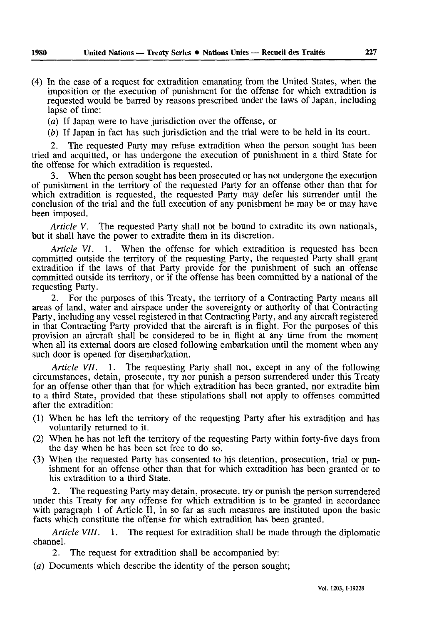(4) In the case of a request for extradition emanating from the United States, when the imposition or the execution of punishment for the offense for which extradition is requested would be barred by reasons prescribed under the laws of Japan, including lapse of time:

*(a)* If Japan were to have jurisdiction over the offense, or

*(b)* If Japan in fact has such jurisdiction and the trial were to be held in its court.

The requested Party may refuse extradition when the person sought has been tried and acquitted, or has undergone the execution of punishment in a third State for the offense for which extradition is requested.

3. When the person sought has been prosecuted or has not undergone the execution of punishment in the territory of the requested Party for an offense other than that for which extradition is requested, the requested Party may defer his surrender until the conclusion of the trial and the full execution of any punishment he may be or may have been imposed.

*Article V.* The requested Party shall not be bound to extradite its own nationals, but it shall have the power to extradite them in its discretion.

*Article VI.* 1. When the offense for which extradition is requested has been committed outside the territory of the requesting Party, the requested Party shall grant extradition if the laws of that Party provide for the punishment of such an offense committed outside its territory, or if the offense has been committed by a national of the requesting Party.

For the purposes of this Treaty, the territory of a Contracting Party means all areas of land, water and airspace under the sovereignty or authority of that Contracting Party, including any vessel registered in that Contracting Party, and any aircraft registered in that Contracting Party provided that the aircraft is in flight. For the purposes of this provision an aircraft shall be considered to be in flight at any time from the moment when all its external doors are closed following embarkation until the moment when any such door is opened for disembarkation.

*Article VII.* 1. The requesting Party shall not, except in any of the following circumstances, detain, prosecute, try nor punish a person surrendered under this Treaty for an offense other than that for which extradition has been granted, nor extradite him to a third State, provided that these stipulations shall not apply to offenses committed after the extradition:

- (1) When he has left the territory of the requesting Party after his extradition and has voluntarily returned to it.
- (2) When he has not left the territory of the requesting Party within forty-five days from the day when he has been set free to do so.
- (3) When the requested Party has consented to his detention, prosecution, trial or pun ishment for an offense other than that for which extradition has been granted or to his extradition to a third State.

2. The requesting Party may detain, prosecute, try or punish the person surrendered under this Treaty for any offense for which extradition is to be granted in accordance with paragraph 1 of Article II, in so far as such measures are instituted upon the basic facts which constitute the offense for which extradition has been granted.

*Article VIII.* 1. The request for extradition shall be made through the diplomatic channel.

2. The request for extradition shall be accompanied by:

*(a)* Documents which describe the identity of the person sought;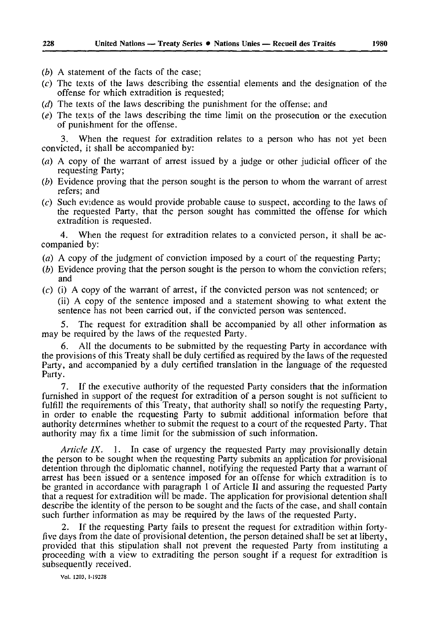- *(b)* A statement of the facts of the case;
- (c) The texts of the laws describing the essential elements and the designation of the offense for which extradition is requested;
- *(d)* The texts of the laws describing the punishment for the offense; and
- *(e)* The texts of the laws describing the time limit on the prosecution or the execution of punishment for the offense.

3. When the request for extradition relates to a person who has not yet been convicted, it shall be accompanied by:

- *(a) A* copy of the warrant of arrest issued by a judge or other judicial officer of the requesting Party;
- *(b)* Evidence proving that the person sought is the person to whom the warrant of arrest refers; and
- (c) Such evidence as would provide probable cause to suspect, according to the laws of the requested Party, that the person sought has committed the offense for which extradition is requested.

4. When the request for extradition relates to a convicted person, it shall be ac companied by:

- *(a)* A copy of the judgment of conviction imposed by a court of the requesting Party;
- *(b)* Evidence proving that the person sought is the person to whom the conviction refers; and
- (c) (i) A copy of the warrant of arrest, if the convicted person was not sentenced; or (ii) A copy of the sentence imposed and a statement showing to what extent the sentence has not been carried out, if the convicted person was sentenced.

5. The request for extradition shall be accompanied by all other information as may be required by the laws of the requested Party.

6. All the documents to be submitted by the requesting Party in accordance with the provisions of this Treaty shall be duly certified as required by the laws of the requested Party, and accompanied by a duly certified translation in the language of the requested Party.

7. If the executive authority of the requested Party considers that the information furnished in support of the request for extradition of a person sought is not sufficient to fulfill the requirements of this Treaty, that authority shall so notify the requesting Party, in order to enable the requesting Party to submit additional information before that authority determines whether to submit the request to a court of the requested Party. That authority may fix a time limit for the submission of such information.

*Article IX.* 1. In case of urgency the requested Party may provisionally detain the person to be sought when the requesting Party submits an application for provisional detention through the diplomatic channel, notifying the requested Party that a warrant of arrest has been issued or a sentence imposed for an offense for which extradition is to be granted in accordance with paragraph 1 of Article II and assuring the requested Party that a request for extradition will be made. The application for provisional detention shall describe the identity of the person to be sought and the facts of the case, and shall contain such further information as may be required by the laws of the requested Party.

If the requesting Party fails to present the request for extradition within fortyfive days from the date of provisional detention, the person detained shall be set at liberty, provided that this stipulation shall not prevent the requested Party from instituting a proceeding with a view to extraditing the person sought if a request for extradition is subsequently received.

Vol. 1203, 1-19228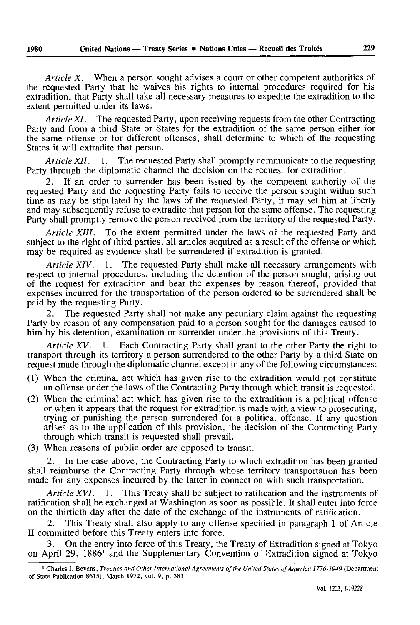*Article X.* When a person sought advises a court or other competent authorities of the requested Party that he waives his rights to internal procedures required for his extradition, that Party shall take all necessary measures to expedite the extradition to the extent permitted under its laws.

*Article XI*. The requested Party, upon receiving requests from the other Contracting Party and from a third State or States for the extradition of the same person either for the same offense or for different offenses, shall determine to which of the requesting States it will extradite that person.

*Article XII.* 1. The requested Party shall promptly communicate to the requesting Party through the diplomatic channel the decision on the request for extradition.

If an order to surrender has been issued by the competent authority of the requested Party and the requesting Party fails to receive the person sought within such time as may be stipulated by the laws of the requested Party, it may set him at liberty and may subsequently refuse to extradite that person for the same offense. The requesting Party shall promptly remove the person received from the territory of the requested Party.

*Article XIII.* To the extent permitted under the laws of the requested Party and subject to the right of third parties, all articles acquired as a result of the offense or which may be required as evidence shall be surrendered if extradition is granted.

*Article XIV.* 1. The requested Party shall make all necessary arrangements with respect to internal procedures, including the detention of the person sought, arising out of the request for extradition and bear the expenses by reason thereof, provided that expenses incurred for the transportation of the person ordered to be surrendered shall be paid by the requesting Party.

2. The requested Party shall not make any pecuniary claim against the requesting Party by reason of any compensation paid to a person sought for the damages caused to him by his detention, examination or surrender under the provisions of this Treaty.

*Article XV.* 1. Each Contracting Party shall grant to the other Party the right to transport through its territory a person surrendered to the other Party by a third State on request made through the diplomatic channel except in any of the following circumstances:

- (1) When the criminal act which has given rise to the extradition would not constitute an offense under the laws of the Contracting Party through which transit is requested.
- (2) When the criminal act which has given rise to the extradition is a political offense or when it appears that the request for extradition is made with a view to prosecuting, trying or punishing the person surrendered for a political offense. If any question arises as to the application of this provision, the decision of the Contracting Party through which transit is requested shall prevail.
- (3) When reasons of public order are opposed to transit.

2. In the case above, the Contracting Party to which extradition has been granted shall reimburse the Contracting Party through whose territory transportation has been made for any expenses incurred by the latter in connection with such transportation.

*Article XVI.* 1. This Treaty shall be subject to ratification and the instruments of ratification shall be exchanged at Washington as soon as possible. It shall enter into force on the thirtieth day after the date of the exchange of the instruments of ratification.

2. This Treaty shall also apply to any offense specified in paragraph 1 of Article II committed before this Treaty enters into force.

3. On the entry into force of this Treaty, the Treaty of Extradition signed at Tokyo on April 29, 1886' and the Supplementary Convention of Extradition signed at Tokyo

<sup>1</sup> Charles I. Bevans, *Treaties and Other International Agreements of the United States of America 1776-1949* (Department of State Publication 8615), March 1972, vol. 9, p. 383.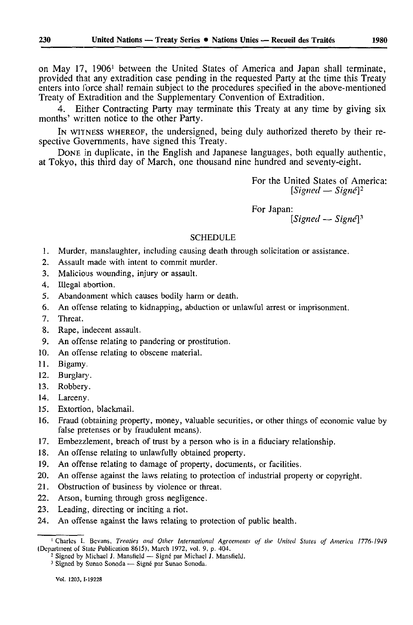on May 17, 1906<sup>1</sup> between the United States of America and Japan shall terminate, provided that any extradition case pending in the requested Party at the time this Treaty enters into force shall remain subject to the procedures specified in the above-mentioned Treaty of Extradition and the Supplementary Convention of Extradition.

4. Either Contracting Party may terminate this Treaty at any time by giving six months' written notice to the other Party.

IN WITNESS WHEREOF, the undersigned, being duly authorized thereto by their re spective Governments, have signed this Treaty.

DONE in duplicate, in the English and Japanese languages, both equally authentic, at Tokyo, this third day of March, one thousand nine hundred and seventy-eight.

> For the United States of America:  $[Signed - Sign@]$ <sup>2</sup>

For Japan:

*[Signed — Signé] <sup>3</sup>*

#### **SCHEDULE**

- 1. Murder, manslaughter, including causing death through solicitation or assistance.
- 2. Assault made with intent to commit murder.
- 3. Malicious wounding, injury or assault.
- 4. Illegal abortion.
- 5. Abandonment which causes bodily harm or death.
- 6. An offense relating to kidnapping, abduction or unlawful arrest or imprisonment.
- 7. Threat.
- 8. Rape, indecent assault.
- 9. An offense relating to pandering or prostitution.
- 10. An offense relating to obscene material.
- 11. Bigamy,
- 12. Burglary.
- 13. Robbery.
- 14. Larceny.
- 15. Extortion, blackmail.
- 16. Fraud (obtaining property, money, valuable securities, or other things of economic value by false pretenses or by fraudulent means).
- 17. Embezzlement, breach of trust by a person who is in a fiduciary relationship.
- 18. An offense relating to unlawfully obtained property.
- 19. An offense relating to damage of property, documents, or facilities.
- 20. An offense against the laws relating to protection of industrial property or copyright.
- 21. Obstruction of business by violence or threat.
- 22. Arson, burning through gross negligence.
- 23. Leading, directing or inciting a riot.
- 24. An offense against the laws relating to protection of public health.

<sup>1</sup> Charles I. Bevans, *Treaties and Other Internationa/ Agreements of the United States of America 1776-1949*  (Department of State Publication 8615), March 1972, vol. 9, p. 404.

<sup>&</sup>lt;sup>2</sup> Signed by Michael J. Mansfield - Signé par Michael J. Mansfield.

<sup>&</sup>lt;sup>3</sup> Signed by Sunao Sonoda — Signé par Sunao Sonoda.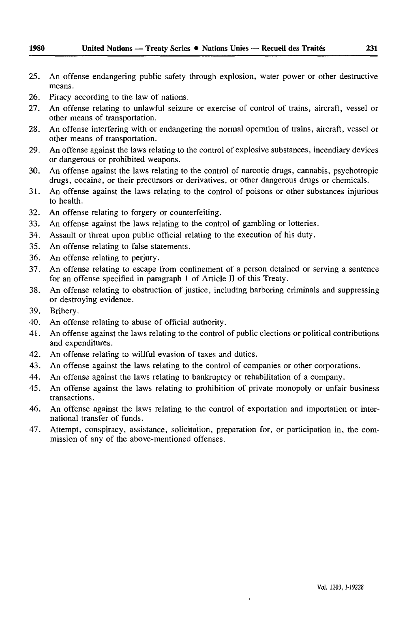- 25. An offense endangering public safety through explosion, water power or other destructive means.
- 26. Piracy according to the law of nations.
- 27. An offense relating to unlawful seizure or exercise of control of trains, aircraft, vessel or other means of transportation.
- 28. An offense interfering with or endangering the normal operation of trains, aircraft, vessel or other means of transportation.
- 29. An offense against the laws relating to the control of explosive substances, incendiary devices or dangerous or prohibited weapons.
- 30. An offense against the laws relating to the control of narcotic drugs, cannabis, psychotropic drugs, cocaine, or their precursors or derivatives, or other dangerous drugs or chemicals.
- 31. An offense against the laws relating to the control of poisons or other substances injurious to health.
- 32. An offense relating to forgery or counterfeiting.
- 33. An offense against the laws relating to the control of gambling or lotteries.
- 34. Assault or threat upon public official relating to the execution of his duty.
- 35. An offense relating to false statements.
- 36. An offense relating to perjury.
- 37. An offense relating to escape from confinement of a person detained or serving a sentence for an offense specified in paragraph 1 of Article II of this Treaty.
- 38. An offense relating to obstruction of justice, including harboring criminals and suppressing or destroying evidence.
- 39. Bribery.
- 40. An offense relating to abuse of official authority.
- 41. An offense against the laws relating to the control of public elections or political contributions and expenditures.
- 42. An offense relating to willful evasion of taxes and duties.
- 43. An offense against the laws relating to the control of companies or other corporations.
- 44. An offense against the laws relating to bankruptcy or rehabilitation of a company.
- 45. An offense against the laws relating to prohibition of private monopoly or unfair business transactions.
- 46. An offense against the laws relating to the control of exportation and importation or inter national transfer of funds.
- 47. Attempt, conspiracy, assistance, solicitation, preparation for, or participation in, the com mission of any of the above-mentioned offenses.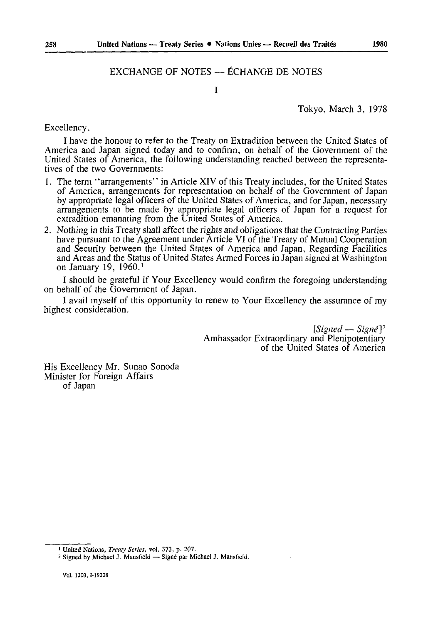### EXCHANGE OF NOTES — ÉCHANGE DE NOTES

 $\mathbf{I}$ 

Tokyo, March 3, 1978

Excellency,

I have the honour to refer to the Treaty on Extradition between the United States of America and Japan signed today and to confirm, on behalf of the Government of the United States of America, the following understanding reached between the representa tives of the two Governments:

- 1. The term "arrangements" in Article XIV of this Treaty includes, for the United States of America, arrangements for representation on behalf of the Government of Japan by appropriate legal officers of the United States of America, and for Japan, necessary arrangements to be made by appropriate legal officers of Japan for a request for extradition emanating from the United States of America.
- 2. Nothing in this Treaty shall affect the rights and obligations that the Contracting Parties have pursuant to the Agreement under Article VI of the Treaty of Mutual Cooperation and Security between the United States of America and Japan, Regarding Facilities and Areas and the Status of United States Armed Forces in Japan signed at Washington on January 19, I960. <sup>1</sup>

I should be grateful if Your Excellency would confirm the foregoing understanding on behalf of the Government of Japan.

I avail myself of this opportunity to renew to Your Excellency the assurance of my highest consideration.

> $[Signal - Sign\ell]^2$ Ambassador Extraordinary and Plenipotentiary of the United States of America

His Excellency Mr. Sunao Sonoda Minister for Foreign Affairs of Japan

<sup>1</sup> United Nations, *Treaty Series,* vol. 373, p. 207.

<sup>&</sup>lt;sup>2</sup> Signed by Michael J. Mansfield - Signé par Michael J. Mansfield,